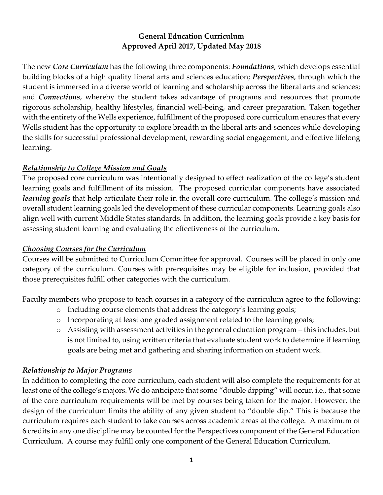#### **General Education Curriculum Approved April 2017, Updated May 2018**

The new *Core Curriculum* has the following three components: *Foundations*, which develops essential building blocks of a high quality liberal arts and sciences education; *Perspectives*, through which the student is immersed in a diverse world of learning and scholarship across the liberal arts and sciences; and *Connections*, whereby the student takes advantage of programs and resources that promote rigorous scholarship, healthy lifestyles, financial well-being, and career preparation. Taken together with the entirety of the Wells experience, fulfillment of the proposed core curriculum ensures that every Wells student has the opportunity to explore breadth in the liberal arts and sciences while developing the skills for successful professional development, rewarding social engagement, and effective lifelong learning.

#### *Relationship to College Mission and Goals*

The proposed core curriculum was intentionally designed to effect realization of the college's student learning goals and fulfillment of its mission. The proposed curricular components have associated *learning goals* that help articulate their role in the overall core curriculum. The college's mission and overall student learning goals led the development of these curricular components. Learning goals also align well with current Middle States standards. In addition, the learning goals provide a key basis for assessing student learning and evaluating the effectiveness of the curriculum.

#### *Choosing Courses for the Curriculum*

Courses will be submitted to Curriculum Committee for approval. Courses will be placed in only one category of the curriculum. Courses with prerequisites may be eligible for inclusion, provided that those prerequisites fulfill other categories with the curriculum.

Faculty members who propose to teach courses in a category of the curriculum agree to the following:

- o Including course elements that address the category's learning goals;
- o Incorporating at least one graded assignment related to the learning goals;
- o Assisting with assessment activities in the general education program this includes, but is not limited to, using written criteria that evaluate student work to determine if learning goals are being met and gathering and sharing information on student work.

#### *Relationship to Major Programs*

In addition to completing the core curriculum, each student will also complete the requirements for at least one of the college's majors. We do anticipate that some "double dipping" will occur, i.e., that some of the core curriculum requirements will be met by courses being taken for the major. However, the design of the curriculum limits the ability of any given student to "double dip." This is because the curriculum requires each student to take courses across academic areas at the college. A maximum of 6 credits in any one discipline may be counted for the Perspectives component of the General Education Curriculum. A course may fulfill only one component of the General Education Curriculum.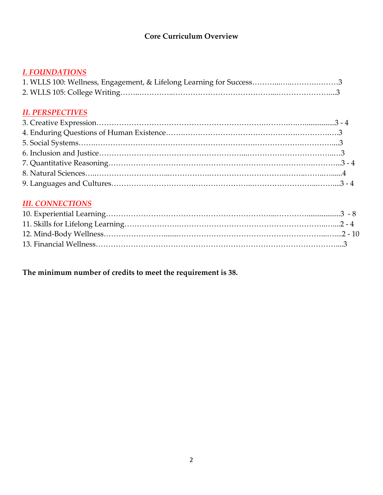# **Core Curriculum Overview**

## *I. FOUNDATIONS*

#### *II. PERSPECTIVES*

## *III. CONNECTIONS*

# **The minimum number of credits to meet the requirement is 38.**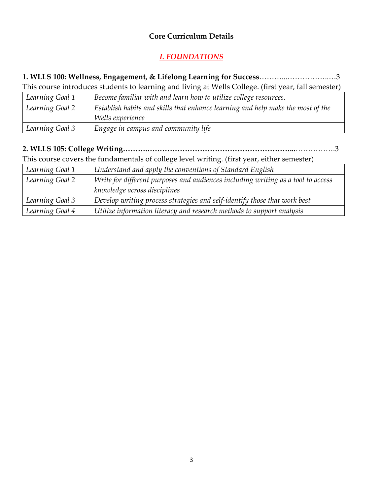#### **Core Curriculum Details**

# *I. FOUNDATIONS*

#### **1. WLLS 100: Wellness, Engagement, & Lifelong Learning for Success**………...……………..…3 This course introduces students to learning and living at Wells College. (first year, fall semester)

| This course introduces stations to realing and firmly at Frens concept. (first ) car) fair sefficitely |                                                                                 |
|--------------------------------------------------------------------------------------------------------|---------------------------------------------------------------------------------|
| Learning Goal 1                                                                                        | Become familiar with and learn how to utilize college resources.                |
| Learning Goal 2                                                                                        | Establish habits and skills that enhance learning and help make the most of the |
|                                                                                                        | Wells experience                                                                |
| Learning Goal 3                                                                                        | Engage in campus and community life                                             |

# **2. WLLS 105: College Writing……….…………………………………………………...**…………….3

This course covers the fundamentals of college level writing. (first year, either semester)

| Learning Goal 1 | Understand and apply the conventions of Standard English                         |
|-----------------|----------------------------------------------------------------------------------|
| Learning Goal 2 | Write for different purposes and audiences including writing as a tool to access |
|                 | knowledge across disciplines                                                     |
| Learning Goal 3 | Develop writing process strategies and self-identify those that work best        |
| Learning Goal 4 | Utilize information literacy and research methods to support analysis            |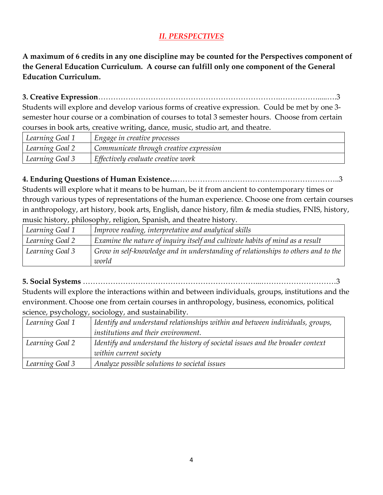# *II. PERSPECTIVES*

**A maximum of 6 credits in any one discipline may be counted for the Perspectives component of the General Education Curriculum. A course can fulfill only one component of the General Education Curriculum.**

**3. Creative Expression**……………………………………………………………….…………….....….3

Students will explore and develop various forms of creative expression. Could be met by one 3 semester hour course or a combination of courses to total 3 semester hours. Choose from certain courses in book arts, creative writing, dance, music, studio art, and theatre.

| Learning Goal 1 | Engage in creative processes            |
|-----------------|-----------------------------------------|
| Learning Goal 2 | Communicate through creative expression |
| Learning Goal 3 | Effectively evaluate creative work      |

#### **4. Enduring Questions of Human Existence…**………………………………………………………..3

Students will explore what it means to be human, be it from ancient to contemporary times or through various types of representations of the human experience. Choose one from certain courses in anthropology, art history, book arts, English, dance history, film & media studies, FNIS, history, music history, philosophy, religion, Spanish, and theatre history.

| Learning Goal 1 | Improve reading, interpretative and analytical skills                             |
|-----------------|-----------------------------------------------------------------------------------|
| Learning Goal 2 | Examine the nature of inquiry itself and cultivate habits of mind as a result     |
| Learning Goal 3 | Grow in self-knowledge and in understanding of relationships to others and to the |
|                 | world                                                                             |

**5. Social Systems** ……………………………………………………………...…………………………3

Students will explore the interactions within and between individuals, groups, institutions and the environment. Choose one from certain courses in anthropology, business, economics, political science, psychology, sociology, and sustainability.

| Learning Goal 1 | Identify and understand relationships within and between individuals, groups,  |
|-----------------|--------------------------------------------------------------------------------|
|                 | <i>institutions and their environment.</i>                                     |
| Learning Goal 2 | Identify and understand the history of societal issues and the broader context |
|                 | within current society                                                         |
| Learning Goal 3 | Analyze possible solutions to societal issues                                  |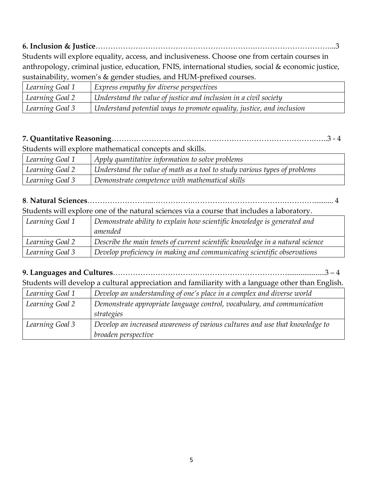**6. Inclusion & Justice**……………………………………………………….…………………………...3 Students will explore equality, access, and inclusiveness. Choose one from certain courses in anthropology, criminal justice, education, FNIS, international studies, social & economic justice, sustainability, women's & gender studies, and HUM-prefixed courses.

| sustantability, wollicles & genuel studies, and HOTNI-pictified courses. |                                                                       |
|--------------------------------------------------------------------------|-----------------------------------------------------------------------|
| Learning Goal 1                                                          | Express empathy for diverse perspectives                              |
| Learning Goal 2                                                          | Understand the value of justice and inclusion in a civil society      |
| Learning Goal 3                                                          | Understand potential ways to promote equality, justice, and inclusion |

# **7. Quantitative Reasoning**……………………………………………………………………….…..3 - 4

Students will explore mathematical concepts and skills.

| Learning Goal 1 | Apply quantitative information to solve problems                          |
|-----------------|---------------------------------------------------------------------------|
| Learning Goal 2 | Understand the value of math as a tool to study various types of problems |
| Learning Goal 3 | Demonstrate competence with mathematical skills                           |

# **8. Natural Sciences**……………………...…………….……………………………….………….......... 4

Students will explore one of the natural sciences via a course that includes a laboratory.

| Learning Goal 1 | Demonstrate ability to explain how scientific knowledge is generated and      |
|-----------------|-------------------------------------------------------------------------------|
|                 | amended                                                                       |
| Learning Goal 2 | Describe the main tenets of current scientific knowledge in a natural science |
| Learning Goal 3 | Develop proficiency in making and communicating scientific observations       |

## **9. Languages and Cultures**…………………………….………………………………....................3 – 4

Students will develop a cultural appreciation and familiarity with a language other than English.

| Learning Goal 1 | Develop an understanding of one's place in a complex and diverse world       |
|-----------------|------------------------------------------------------------------------------|
| Learning Goal 2 | Demonstrate appropriate language control, vocabulary, and communication      |
|                 | strategies                                                                   |
| Learning Goal 3 | Develop an increased awareness of various cultures and use that knowledge to |
|                 | broaden perspective                                                          |